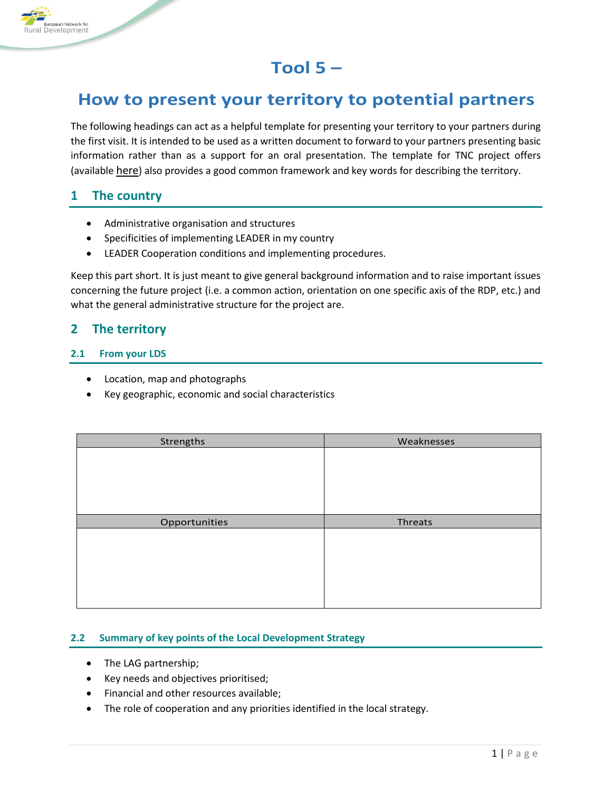

# **Tool 5 –**

## **How to present your territory to potential partners**

The following headings can act as a helpful template for presenting your territory to your partners during the first visit. It is intended to be used as a written document to forward to your partners presenting basic information rather than as a support for an oral presentation. The template for TNC project offers (available [here](https://enrd.ec.europa.eu/leader-clld/partner-search_en)) also provides a good common framework and key words for describing the territory.

## **1 The country**

- Administrative organisation and structures
- Specificities of implementing LEADER in my country
- LEADER Cooperation conditions and implementing procedures.

Keep this part short. It is just meant to give general background information and to raise important issues concerning the future project (i.e. a common action, orientation on one specific axis of the RDP, etc.) and what the general administrative structure for the project are.

## **2 The territory**

#### **2.1 From your LDS**

- Location, map and photographs
- Key geographic, economic and social characteristics

| Strengths     | Weaknesses |
|---------------|------------|
|               |            |
|               |            |
|               |            |
|               |            |
|               |            |
|               |            |
| Opportunities | Threats    |
|               |            |
|               |            |
|               |            |
|               |            |
|               |            |

### **2.2 Summary of key points of the Local Development Strategy**

- The LAG partnership;
- Key needs and objectives prioritised;
- Financial and other resources available;
- The role of cooperation and any priorities identified in the local strategy.